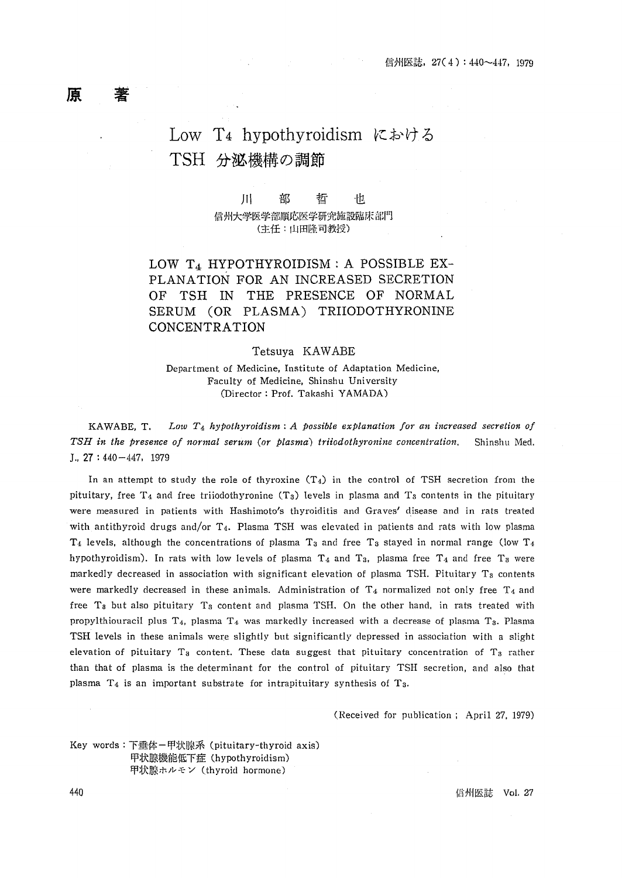## Low T4 hypothyroidism における TSH 分泌機構の調節

Ш 部 哲 也 信州大学医学部順応医学研究施設臨床部門 (主任:山田隆司教授)

LOW T<sub>4</sub> HYPOTHYROIDISM : A POSSIBLE EX-PLANATION FOR AN INCREASED SECRETION OF TSH IN THE PRESENCE OF NORMAL SERUM (OR PLASMA) TRIIODOTHYRONINE CONCENTRATION

### Tetsuva KAWABE

Department of Medicine, Institute of Adaptation Medicine, Faculty of Medicine, Shinshu University (Director: Prof. Takashi YAMADA)

Low  $T_4$  hypothyroidism: A possible explanation for an increased secretion of KAWABE. T. TSH in the presence of normal serum (or plasma) triiodothyronine concentration. Shinshu Med.  $I., 27: 440 - 447, 1979$ 

In an attempt to study the role of thyroxine  $(T_4)$  in the control of TSH secretion from the pituitary, free  $T_4$  and free triiodothyronine (T<sub>3</sub>) levels in plasma and T<sub>3</sub> contents in the pituitary were measured in patients with Hashimoto's thyroiditis and Graves' disease and in rats treated with antithyroid drugs and/or T<sub>4</sub>. Plasma TSH was elevated in patients and rats with low plasma  $T_4$  levels, although the concentrations of plasma  $T_3$  and free  $T_3$  stayed in normal range (low  $T_4$ hypothyroidism). In rats with low levels of plasma  $T_4$  and  $T_3$ , plasma free  $T_4$  and free  $T_3$  were markedly decreased in association with significant elevation of plasma TSH. Pituitary T<sub>8</sub> contents were markedly decreased in these animals. Administration of  $T_4$  normalized not only free  $T_4$  and free T<sub>8</sub> but also pituitary T<sub>8</sub> content and plasma TSH. On the other hand, in rats treated with propylthiouracil plus  $T_4$ , plasma  $T_4$  was markedly increased with a decrease of plasma  $T_3$ . Plasma TSH levels in these animals were slightly but significantly depressed in association with a slight elevation of pituitary  $T_3$  content. These data suggest that pituitary concentration of  $T_3$  rather than that of plasma is the determinant for the control of pituitary TSH secretion, and also that plasma  $T_4$  is an important substrate for intrapituitary synthesis of  $T_3$ .

(Received for publication; April 27, 1979)

Key words: 下垂体-甲状腺系 (pituitary-thyroid axis) 甲状腺機能低下症 (hypothyroidism) 甲状腺ホルモン (thyroid hormone)

**信州医誌 Vol. 27** 

440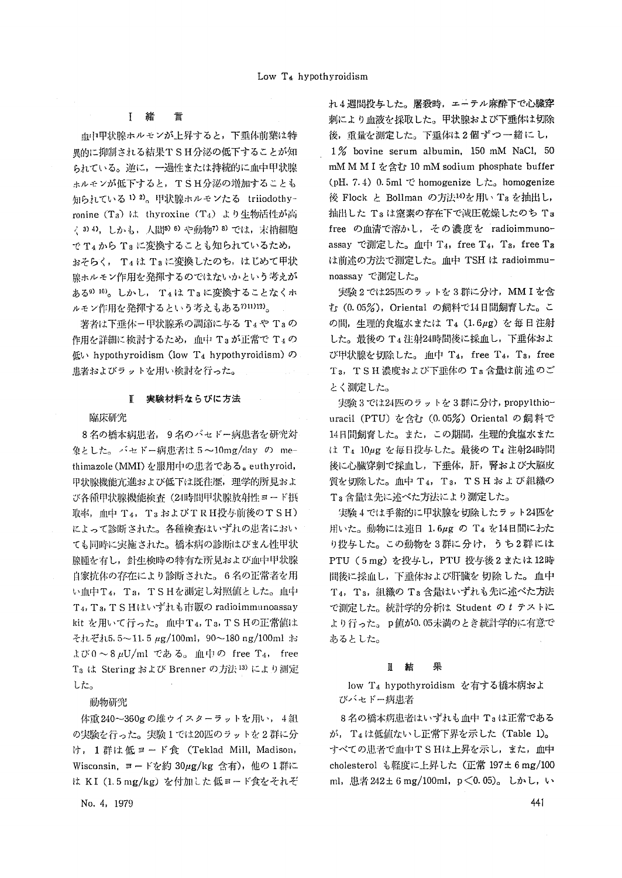異的に抑制される結果TSH分泌の低下することが知 イング bovine serum albumin, 150 mM NaCl, 50 られている。逆に,一過性または持続的に血中甲状腺 mM M I を含む 10 mM sodium phosphate buffer ホルモンが低下すると,TSH分泌の増加することも (pH. 7.4) 0.5ml で homogenize した。 homogenize 知られている <sup>1) 2)</sup>。甲状腺ホルモンたる triiodothy-――― 後 Flock と Bollman の方法<sup>14)</sup>を用い Ta を抽出し, ronine(T3、はthyroxine(Cl' .t)より生物活性が高 抽出したT3は窒素の存在下で減圧乾燥したのちT, く3)4), しかも, 人間5)6)や動物7 8)では, 末梢細胞 free の血清で溶かし, その濃度を radioimmuno-でT4からT8に変換することも知られているため, assayで測定した。血中T4, free T4, T8, free Ta おそらく, T4は Taに変換したのち,はじめて甲状 は前述の方法で測定した。血中 TSH は radioimmu-腺ホルモン作用を発揮するのではないかという考えが noassayで測定した。 ある9)10)。しかし,T4はT3に変換することなくホ 実験2では25匹のラッi・を3群に分け, MMIを含 ルモ》〆f乍用を発揮するという考えもある7)11)12)。 む(O. 05%),Orienta1の飼料で14日間飼育した。こ

作用を詳細に検討するため,血中 Ta が正常で T4 の ―― した。最後の T4 注射24時間後に採血し,下垂体およ

# とく測定した。

象とした。バセドー病患者は5~10mg/day の me- は T4 10μg を毎日投与した。最後の T4 注射24時間 thimazole(MMI)を服用中の患者である。euthyroid, 後に心臓穿刺で採血し,下垂体,肝,腎および大脳皮 甲状腺機能亢進および低下は既往歴,理学的所見およ 質を切除した。血中 T4,T3,T S H および 組織の び各種甲状腺機能検査(21時間甲状腺放射性ヨード摂 T3含最は先に述べた方法により測定した。 取率, 血中 T4, T3およびTRH投与前後のTSH) 実験4では手術的に甲状腺を切除したラット24匹を によって診断された。各種検査はいずれの患者におい 用いた。動物には連日 1.6μg の T4 を14日間にわた ても同時に実施された。橋本病の診断はびまん性甲状 り投与した。この動物を3群に分け,うち2群には 腺腫を有し、針生検時の特有な所見および血中甲状腺 PTU(5mg)を投与し、PTU投与後2または12時 自家抗体の存在により診断された。6名の正常者を用 間後に採血し,下垂体および肝臓を切除した。血中 い血中T4, T3, TSHを測定し対照値とした。血中 T4, T3, 組織のT3含量はいずれも先に述べた方法 T4, T3, TS Hはいずれも市販の radioimmunoassay で測定した。統計学的分析は Student のt テストに ki亡を用いて行った。1白L中T4,T3,TSHの正常値は より行った。 p値が0.05末満のとき統計学的に有意で それぞれ5.5~11,5μg/100ml,90~180 ng/100mlお あるとした。  $x \circ \sim 8 \mu U/ml$  である。血中の free T<sub>4</sub>, free TaはSteringおよびBrennerの方法13)により測定 皿 結 果 した。 「 1Qw T4 hypothyreidismを有する橋本病およ

体重240~360gの雄ウイスターラットを用い,4組 8名の橋本病患者はいずれも血中 Taは正常である の実験を行った。実験1では20匹のラットを2群に分 あり、T4は低値ないし正常下界を示した (Table 1)。 け, 1群は低ヨード食 (Teklad Mill, Madison, すべての患者で血中TSHは上昇を示し,また,血中 Wisconsin, ヨードを約30μg/kg 含有),他の1群に cholesterol も軽度に上昇した (正常197±6mg/100 は KI (1.5 mg/kg) を付加した低ヨード食をそれぞ ml, 患者 242±6 mg/100ml, p < 0.05)。しかし, い

 $h_4$ 週間投与した。屠殺時,エーテル麻酔下で心臓穿<br>アジダントル (1998年) - 国際アドル血液を感じます。国外映射とび下垂体け 初除 言 まんじょう あっきょう 血液を採取した。甲状腺および下垂体は切除 血中甲状腺ホルモンが上昇すると,下垂体前葉は特 後,重量を測定した。下垂体は2個ずつ一緒にし,

著者は下垂体ー甲状腺系の調節に与る T4や T3の の間,生理的食塩水または T4 (1.6μg)を毎日注射 低い hypothyroidism (low T4 hypothyroidism)の び甲状腺を切除した。血中 T4, free T4, T3, free 患者およびラットを用い検討を行った。 T3, TSH濃度および下垂体のT8含量は前述のご

実験3では24匹のラットを3群に分け, propylthio- 臨床研究 uraci1(PTU)を含む(0.05%)Orientalの飼料で 8名の橋本病患者,9名のバセドー病患者を研究対 14日間飼育した。また、この期間,生理的食塩水また

動物研究 おおとこ しょうしょう しゅうしょう しゅうしゅう びバセドー病患者

No, 4, 1979  $\sim$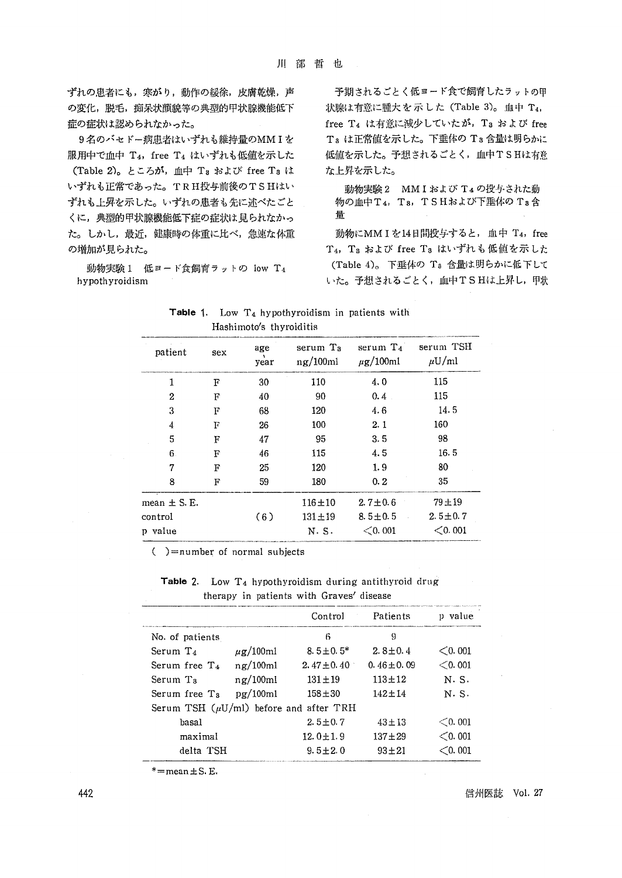ずれの患者にも,寒がり,動作の緩徐,皮膚乾燥,声 子期されるごとく低ヨード食で飼育したラットの甲 の変化,脱毛,痴呆状顔貌等の典型的甲状腺機能低下 状腺は有意に腫大を示した (Table 3)。血中 T4, 症の症状は認められなかった。 free T4は有意に減少していたが, T3およびfree

服用中で血中T4, freeT4 はいずれも低値を示した 低値を示した。予想されるごとく,血中TSHは有意 (Table 2)。ところが,血中Tsおよびfree Taは な上昇を示した。 いずれも正常であった。TRH投与前後のTSHはい 動物実験2 MMIおよびT4の投与された動 ずれも上昇を示した。いずれの患者も先に述べたごと 物の血中T4, Ts, TSHおよび下垂体のTs含 くに、典型的甲状腺機能低下症の症状は見られなかっ <sup>量</sup> た。しかし,最近,健康時の体重に比べ,急速な体重 動物にMM Iを14日間投与すると,血中T4, free の増加が見られた。 T4, Tsおよびfree TBはいずれも低値を示した

9名のバセドー病患者はいずれも維持量のMMIを Taは正常値を示した。下垂体のTa含量は明らかに

動物実験 1 低ヨード食飼育ラットの low T<sub>4</sub> (Table 4)。下垂体の T3 含量は明らかに低下して hypothyroidism いた。予想されるごとく,血中TSHは上昇し,甲状

|                 | $\mathbf{r}$ . The state is the state of $\mathbf{r}$ |             |                              |                              |                         |  |
|-----------------|-------------------------------------------------------|-------------|------------------------------|------------------------------|-------------------------|--|
| patient         | sex                                                   | age<br>year | serum Ta<br>$n\alpha/100$ ml | serum $T_4$<br>$\mu$ g/100ml | serum TSH<br>$\mu U/ml$ |  |
| 1               | F                                                     | 30          | 110                          | 4,0                          | 115                     |  |
| 2               | F                                                     | 40          | 90                           | 0.4                          | 115                     |  |
| 3               | F                                                     | 68          | 120                          | 4.6                          | 14.5                    |  |
| 4               | F                                                     | 26          | 100                          | 2.1                          | 160                     |  |
| 5               | F                                                     | 47          | 95                           | 3.5                          | 98                      |  |
| 6.              | F                                                     | 46          | 115                          | 4.5                          | 16.5                    |  |
| 7               | F                                                     | 25          | 120                          | 1.9                          | 80                      |  |
| 8               | F                                                     | 59          | 180                          | 0.2                          | 35                      |  |
| mean $\pm$ S.E. |                                                       |             | $116 + 10$                   | $2.7 \pm 0.6$                | 79±19                   |  |
| control         |                                                       | (6)         | $131 + 19$                   | $8.5 \pm 0.5$                | $2.5 \pm 0.7$           |  |
| p value         |                                                       |             | N.S.                         | < 0.001                      | $<$ 0.001               |  |
|                 |                                                       |             |                              |                              |                         |  |

Hashimoto's thyroiditis

**Table 1.** Low  $T_4$  hypothyroidism in patients with

 $( )=$ number of normal subjects

Table 2. Low  $T_4$  hypothyroidism during antithyroid drug therapy in patients with Graves/disease

|                                             |                          | Control         | Patients        | p value   |  |
|---------------------------------------------|--------------------------|-----------------|-----------------|-----------|--|
| No. of patients                             |                          | 6               | 9               |           |  |
| Serum $Ta$                                  | $\mu$ g/100ml            | $8.5 \pm 0.5^*$ | $2.8 + 0.4$     | $<$ 0.001 |  |
| Serum free T <sub>4</sub>                   | $n\alpha/100ml$          | 2.47 $\pm$ 0.40 | $0.46 \pm 0.09$ | $<$ 0.001 |  |
| Serum T <sub>3</sub>                        | $n\text{g}/100\text{ml}$ | $131 \pm 19$    | $113 + 12$      | N. S.     |  |
| Serum free T <sub>s</sub>                   | pg/100ml                 | $158 + 30$      | $142 + 14$      | N. S.     |  |
| Serum TSH $(\mu U/ml)$ before and after TRH |                          |                 |                 |           |  |
| basal                                       |                          | $2.5 \pm 0.7$   | $43 \pm 13$     | $<$ 0.001 |  |
| maximal                                     |                          | $12.0 \pm 1.9$  | $137 + 29$      | $<$ 0.001 |  |
| delta TSH                                   |                          | $9.5 \pm 2.0$   | $93 + 21$       | $<$ 0.001 |  |

 $* =$ mean $± S.E.$ 

442 信州医誌 VoL 27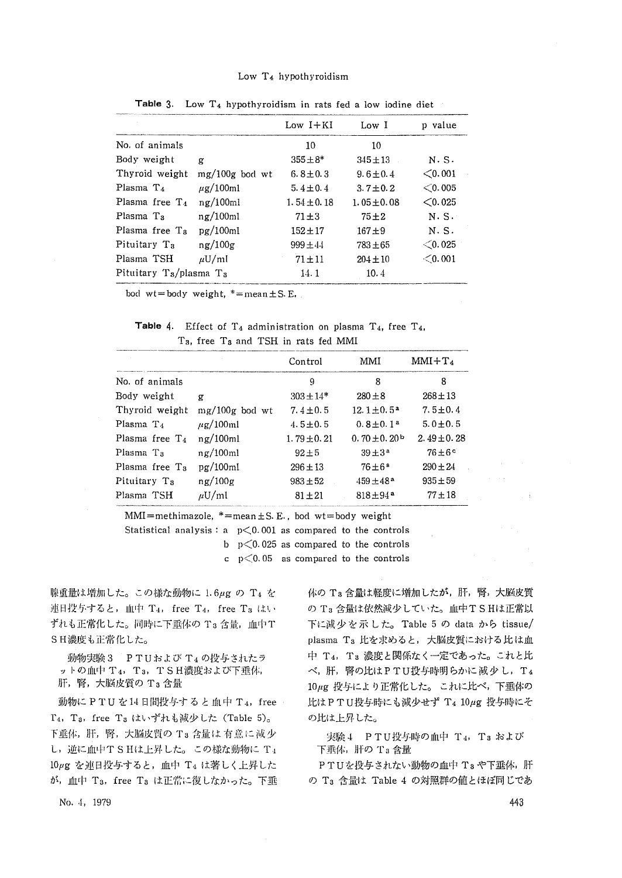### Low T4 hypothyroidism

|                            |                      | $Low I+KI$      | Low I           | p value   |
|----------------------------|----------------------|-----------------|-----------------|-----------|
| No. of animals             |                      | 10              | 10              |           |
| Body weight                | g                    | $355 \pm 8*$    | $345 \pm 13$    | N.S.      |
| Thyroid weight             | $mg/100g$ bod wt     | $6.8 \pm 0.3$   | $9.6 \pm 0.4$   | < 0.001   |
| Plasma $T_4$               | $\mu$ g/100ml        | $5.4 \pm 0.4$   | $3.7 \pm 0.2$   | $<$ 0.005 |
| Plasma free $T_A$          | $n\mathbf{r}/100$ ml | $1.54 \pm 0.18$ | $1.05 \pm 0.08$ | $<$ 0.025 |
| Plasma T <sub>a</sub>      | $n\mathbf{g}/100ml$  | $71 \pm 3$      | $75 + 2$        | N.S.      |
| Plasma free T <sub>a</sub> | pq/100ml             | $152 + 17$      | $167 + 9$       | N.S.      |
| Pituitary T <sub>3</sub>   | ng/100g              | $999 \pm 44$    | $783 + 65$      | $<$ 0.025 |
| Plasma TSH                 | $\mu$ U/ml           | $71 + 11$       | $204 \pm 10$    | < 0.001   |
| Pituitary Ts/plasma Ts     |                      | 14. 1           | 10.4            |           |

Table 3. Low  $T_4$  hypothyroidism in rats fed a low iodine diet

bod wt=body weight,  $*=$ mean $±S.E.$ 

Table 4. Effect of  $T_4$  administration on plasma  $T_4$ , free  $T_4$ , T<sub>3</sub>, free T<sub>3</sub> and TSH in rats fed MMI

|                          |                  | Control         | MMI                          | $MMI+T_4$          |  |
|--------------------------|------------------|-----------------|------------------------------|--------------------|--|
| No. of animals           |                  | 9               | 8                            | 8                  |  |
| Body weight              | g                | $303 \pm 14*$   | $280 \pm 8$                  | $268 \pm 13$       |  |
| Thyroid weight           | $mg/100g$ bod wt | $7.4 \pm 0.5$   | $12.1 \pm 0.5^a$             | $7.5 \pm 0.4$      |  |
| Plasma $Ta$              | $\mu$ g/100ml    | $4.5 \pm 0.5$   | $0.8 \pm 0.1$ <sup>a</sup>   | $5.0 \pm 0.5$      |  |
| Plasma free $T_4$        | ng/100ml         | $1.79 \pm 0.21$ | 0.70 $\pm$ 0.20 <sup>b</sup> | $2.49 \pm 0.28$    |  |
| Plasma T <sub>a</sub>    | $n\alpha/100ml$  | $92 + 5$        | $39 \pm 3^{\,a}$             | $76 \pm 6^{\circ}$ |  |
| Plasma free $T_a$        | pq/100ml         | $296 \pm 13$    | $76 \pm 6^{\circ}$           | $290 \pm 24$       |  |
| Pituitary T <sub>a</sub> | ng/100g          | $983 + 52$      | $459 \pm 48^{\circ}$         | $935 \pm 59$       |  |
| Plasma TSH               | $\mu$ U/ml       | $81 \pm 21$     | $818 \pm 94$ <sup>a</sup>    | $77 + 18$          |  |

 $MMI=methimaxole, *=mean ± S.E., bod wt=body weight$ 

Statistical analysis:  $a \neq 0.001$  as compared to the controls

b  $p \leq 0.025$  as compared to the controls

c  $p \leq 0.05$  as compared to the controls

腺重量は増加した。この様な動物に1. 6μgのT4を 体のT3含量は軽度に増加したが,肝,腎,大脳皮質 連日投与すると,血中 T4, free T4, free T3 はい のT3含量は依然減少していた。血中TSHは正常以 ずれも正常化した。同時に下垂体の T3 含量, 血中T 下に減少を示した。 Table 5 の data から tissue/ SH濃度もi:E常化した。 plasma Ta比を求めると,大脳皮質における比は血

T<sub>4</sub>, T<sub>3</sub>, free T<sub>3</sub> はいずれも減少した (Table 5)。 の比は上昇した。 下垂体,肝,腎,大脳皮質の T3 含量は 有意に 減少 ――――実験 4 - PTU投与時の血中 T4, T3 および し,逆に血中TSHは上昇した。この様な動物に T4 下垂体, 肝の T3 含量 10µg を連日投与すると,血中 T4 は著しく上昇した PTUを投与されない動物の血中 Tsや下垂体,肝

動物実験3 PTUおよび T4の投与されたラ ―― 中 T4, Ta 濃度と関係なく一定であった。これと比 ットの血中 T4,Ta,TSH濃度および下垂体, ベ,肝,腎の比はPTU投与時明らかに 減少 し,T4<br>肝,腎,大脳皮質の Ta 含量 10μg 投与に ト n 正常化した。 これに比べ。下垂休の 10μg 投与により正常化した。これに比べ,下垂体の 動物に P T U を 14日間投与すると血中 T 4, free 上は P T U 投与時にも減少せず T 4 10μg 投与時にそ

が,血中 T<sub>3</sub>, free T<sub>3</sub> は正常に復しなかった。下垂 のT<sub>3</sub> 含量は Table 4 の対照群の値とほぼ同じであ

 $N(0, 4, 1979)$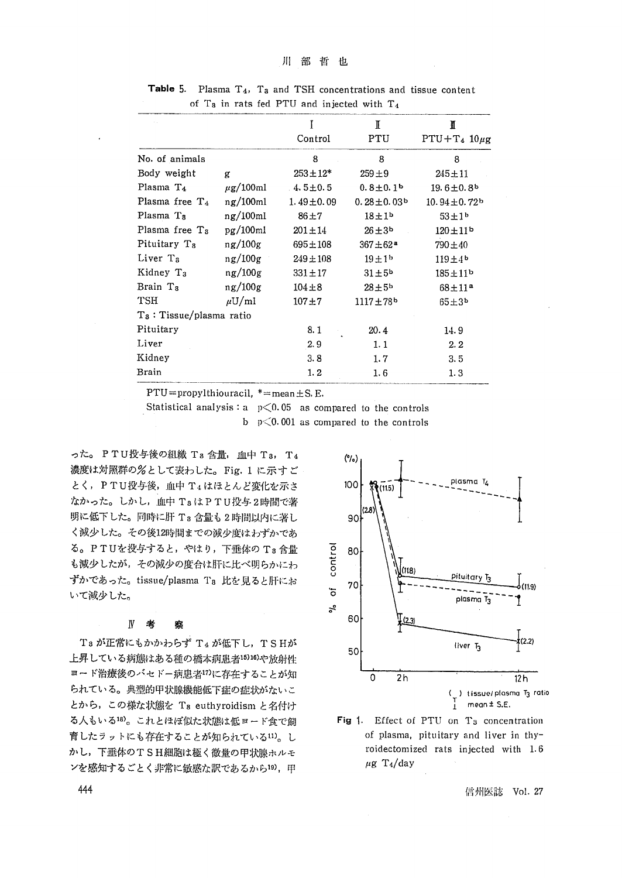|                             |                 | Ī<br>Control    | T<br>PTU                     | N<br>$PTU+T_4$ 10µg           |
|-----------------------------|-----------------|-----------------|------------------------------|-------------------------------|
| No. of animals              |                 | 8               | 8                            | 8                             |
| Body weight                 |                 | $253 \pm 12^*$  |                              |                               |
|                             | g               |                 | $259 + 9$                    | 245±11                        |
| Plasma T <sub>4</sub>       | $\mu$ g/100ml   | $4.5 \pm 0.5$   | $0.8 \pm 0.1$                | $19.6 \pm 0.8$ <sup>b</sup>   |
| Plasma free $T_4$           | $n\alpha/100ml$ | $1.49 \pm 0.09$ | $0.28 \pm 0.03$ <sup>b</sup> | $10.94 \pm 0.72$ <sup>b</sup> |
| Plasma T <sub>8</sub>       | ng/100ml        | $86 + 7$        | $18+1b$                      | $53 + 1^{b}$                  |
| Plasma free T <sub>8</sub>  | pg/100ml        | $201 \pm 14$    | $26 \pm 3^{\circ}$           | $120 \pm 11$ <sup>b</sup>     |
| Pituitary T <sub>8</sub>    | $n\,g/100g$     | $695 \pm 108$   | $367 + 62a$                  | 790±40                        |
| Liver T <sub>a</sub>        | ng/100g         | $249 \pm 108$   | $19 + 1b$                    | $119 + 4b$                    |
| Kidney T <sub>3</sub>       | ng/100g         | $331 \pm 17$    | $31 \pm 5^{\circ}$           | $185 + 11^{b}$                |
| Brain Ta                    | $n\,g/100g$     | $104 + 8$       | $28 \pm 5b$                  | $68 \pm 11^a$                 |
| <b>TSH</b>                  | $\mu U/ml$      | $107 + 7$       | $1117 + 78$ <sup>b</sup>     | $65 + 3b$                     |
| $T_3$ : Tissue/plasma ratio |                 |                 |                              |                               |
| Pituitary                   |                 | 8.1             | 20.4                         | 14.9                          |
| Liver                       |                 | 2.9             | 1.1                          | 2.2                           |
| Kidney                      |                 | 3.8             | 1.7                          | 3.5                           |
| Brain                       |                 | 1.2             | 1.6                          | 1.3                           |

Table 5. Plasma  $T_4$ ,  $T_3$  and TSH concentrations and tissue content of T<sub>8</sub> in rats fed PTU and injected with  $T_4$ 

 $PTU = propylthiouracil, * = mean ± S. E.$ 

Statistical analysis:  $a \cdot p \leq 0.05$  as compared to the controls b  $p \leq 0.001$  as compared to the controls

った。 P T U 投与後の組織 T a 含量, 血中 T a, T 4 (%) 濃度は対照群の%として表わした。Fig. 1 に示すご とく, PTU投与後, 血中 T<sub>4</sub>はほとんど変化を示さ 100 なかった。しかし,血中 TaはPTU投与2時間で著 明に低下した。同時に肝 T3 含量も2時間以内に著し 90 く減少した。その後12時間までの減少度はわずかであ る。PTUを投与すると,やはり,下垂体のT8含盤 蒼 80 も減少したが、その減少の度合は肝に比べ明らかにわ ずかであった。tissue/plasma T<sub>8</sub> 比を見ると肝にお てんている 70<br>いて減少1 ナ いて減少した。 O

## end and  $\mathbb{N}$  考 察 and and and and and  $\mathbb{N}$  or  $\mathbb{N}$

T3が正常にもかかわらず T4が低下し、TSHが <sup>50</sup> 上昇している病態はある種の橋本病患者15)16)や放射性 ヨード治療後のバセドー病患者<sup>17)</sup>に存在することが知 → → → → → → → → → 12h とから,この様な状態をT3 euthyroidismと名付け I mean土S・E・ る人もいる18)。これとほぼ似た状態は低ヨード食で飼 Fig 1. Effect of PTU on T3 concentration 育したラットにも存在することが知られている11)。し complasma, pituitary and liver in thy-かし,下垂体のTSH細胞は極く微壼の甲状腺ホルモ 「oidectomized rats injected with 1・6  $\vee$ を感知するごとく非常に敏感な訳であるから19), 甲  $\mu$ g T<sub>4</sub>/day





444 信州医誌 VoL 27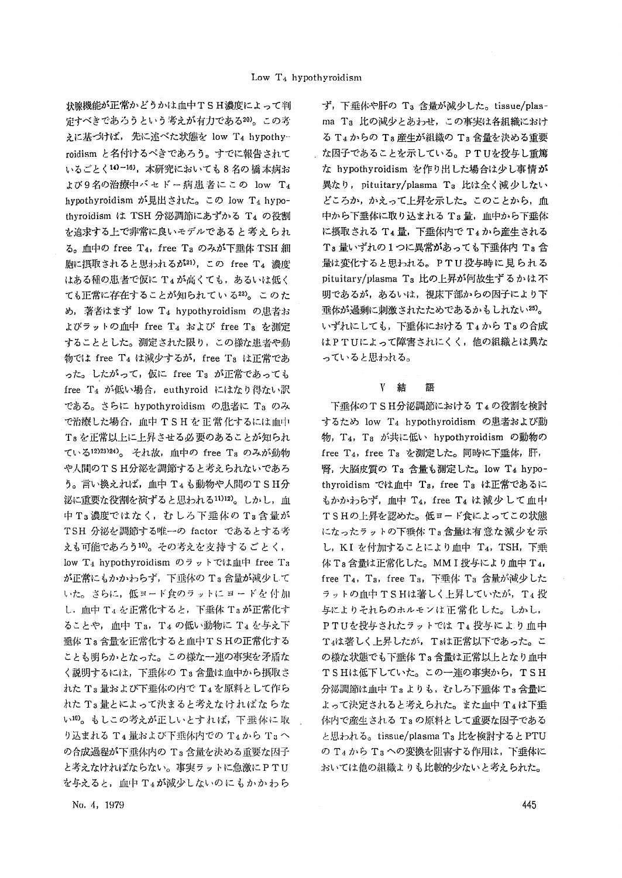定すべきであろうという考えが有力である<sup>20</sup>。この考 ma Ta 比の減少とあわせ, この事実は各組織におけ えに基づけば,先に述べた状態を low T4 hypothy- る T4 からの T3産生が組織の T8 含量を決める重要 roidism と名付けるべきであろう。すでに報告されて お囚子であることを示している。PTUを投与し重篤 いるごとく14)-16),本研究においても8名の橋本病お な hypothyroidism を作り出した場合は少し事情が よび9名の治療中バセドー病患者にこの low T4 異なり, pituitary/plasma T3 比は全く減少しない hypothyroidism が見出された。この low T4 hypo- どころか,かえって上昇を示した。このことから, 血 thyroidism は TSH 分泌調節にあずかる T4 の役割 ―― 中から下垂体に取り込まれる T3 量, 血中から下垂体 を追求する上で非常に良いモデルであると考えられ に摂取されるT4量,下垂体内でT4から産生される る。血中のfree T4, free Ta のみが下垂体 TSH 細 Ts 量いずれの1つに異常があっても下垂体内 Ts 含 胞に摂取されると思われるが<sup>21)</sup>, この free T4 濃度 <br> はある種の患者で仮に T4が高くても,あるいは低く pituitary/plasma T3 比の上昇が何故生ずるかは不 ても正常に存在することが知られている22)。このた 明であるが、あるいは、視床下部からの因子により下 め, 著者はまず low T4 hypothyroidism の患者お - 垂体が過剰に刺激されたためであるかもしれない25)。 よびラットの血中free T4およびfree Tsを測定 いずれにしても,下垂体におけるT4からT8の合成 することとした。測定された限り,この様な患者や動 はPTUによって障害されにくく,他の組織とは異な 物ではfree T4は減少するが, free T3は正常であ っていると思われる。 った。したがって,仮に free Ta が正常であっても free T<sub>4</sub> が低い場合, euthyroid にはなり得ない訳 <br> である。さらにhypothyroidismの,患者にT3のみ 下垂体のTSH分泌調節におけるTeの役割を検討 で治療した場合、血中 TSHを正常化するには血中 するため low T4 hypothyroidism の患者および動 Taを正常以上に上昇させる必要のあることが知られ 物, T4, Ta が共に低い hypothyroidism の動物の ている12)23)24)。 それ故, 血中の free Ts のみが動物 free T4, free Ts を測定した。同時に下垂体, 肝, や人間のTSH分泌を調節すると考えられないであろ 腎,大脳皮質の Ta 含量も測定した。 Iow T4 hypo-う。言い換えれば,血中 T4も動物や人間のTSH分 thyroidism では血中 Ta, free Ta は正常であるに 巡に重要な役割を演ずると思われる<sup>11)12)</sup>。しかし,血 もかかわらず,血中Ta, free Ta は減少して血中 中T3濃度ではなく、むしろ下垂体のT3含量が TSHの上昇を認めた。低ヨード食によってこの状態 TSH 分泌を調節する唯一の factor であるとする考 になったラットの下垂体 T3 含量は有意な減少を示 えも可能であろう<sup>10</sup>。その考えを支持するごとく, し,KIを付加することにより血中T4,TSH,下垂 low T<sub>4</sub> hypothyroidism のラットでは血中 free T<sub>3</sub> 体 T<sub>8</sub>含量は正常化した。 MM I 投与により血中 T<sub>4</sub>, が正常にもかかわらず,下垂体の T3 含量が減少して free T4, T3, free T3, 下垂体 T3 含量が減少した いた。さらに,低ヨード食のラットに ヨードを 付加 コーラットの血中 TSHは著しく上昇していたが, T4 投 し,血中T4を正常化すると,下垂体Taが正常化す 与によりそれらのホルモソは正常化した。しかし, ることや,血中 Ta, T4の低い動物に T4を与え下 PTUを投与されたラットでは T4 投与により血中 垂体 Ta 含量を正常化すると血中T S Hの正常化する T 4は著しく上昇したが, Taは正常以下であった。こ ことも明らかとなった。この様な一連の事実を矛盾な の様な状態でも下垂体T3含量は正常以上となり血中 く説明するには,下垂体の T3 含量は血中から摂取さ T S Hは低下していた。この一連の事実から,T S H れたTa蚤および下垂体の内でT.l tx原料として作ら 分泌調節は1血L中T3よりも,むしろ下垂体T3含量に れたT3量とによって決まると考えなければならな よって決定されると考えられた。また血中T4は下垂 い<sup>10</sup>。もしこの考えが正しいとすれば,下垂体に取 . 体内で産生されるT3の原料として重要な因子である り込まれる T4 量および下垂体内での T4から T3 へ ―― と思われる。tissue/plasma T3 比を検討すると PTU の合成過程が下垂体内の Ta 含量を決める重要な因子 ―――の T4 から Ta への変換を阻害する作用は,下垂体に **と考えなければならない。事実ラットに急激にPTU おいては他の組織よりも比較的少ないと考えられた。** を与えると,」血巾T4が減少しないのにもかかわら

状腺機能が正常かどうかは血中TSH濃度によって判 す,下垂体や肝のT3含量が減少した。 tissue/plas-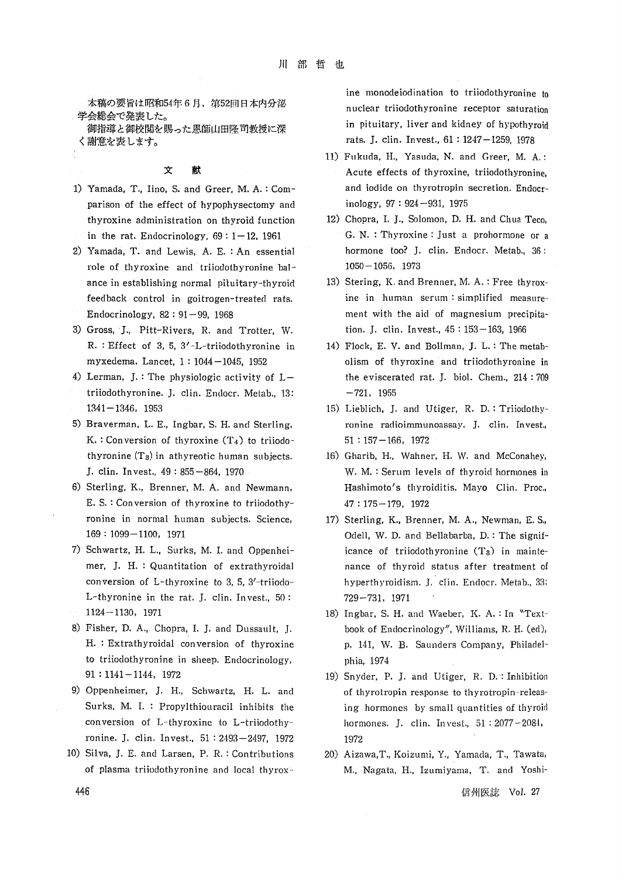〈謝意を褒します。 rats・J・clin・Invest・,61:1247-1259,1978

- parison of the effect of hypophysectomy and inology, 97:924-931, 1975
- 2) Yamada, T. and Lewis, A. E. : An essential hormone too? J. clin. Endocr. Metab., 36: role of thyroxine and triiodothyronine bal-  $1050-1056$ , 1973 ance in establishing normal pituitary-thyroid 13) Stering, K. and Brenner, M. A.: Free thyrox-
- R.:Effect of 3,5,3'-L-triiodothyronine in 14)Flock, E. V. and Bollman, J. L.:The metab-
- $triiodothyronine. J. Clin. Endocr. Metab. 13:  $-721,1955$$ 1341-1346,1953 15)Lieblich, J, and Utiger, R. D.:Triiodothy-
- K.: Conversion of thyroxine  $(T_4)$  to triiodo- $51:157-166$ , 1972 thyronine  $(T_3)$  in athyreotic human subjects.  $16)$  Gharib, H., Wahner, H. W. and McConahey,
- E.S.: Conversion of thyroxine to triiodothy-  $47:175-179$ , 1972 ronine in normal human subjects. Science, 17) Sterling, K., Brenner, M. A., Newman, E. S.,
- L-thyronine in the rat, J. clin. Invest.,  $50:$   $729-731$ , 1971
- to triiodothyronine in sheep. Endocrinology, phia, 1974 91:1141-1144・1972 19)Snyder, P. J. and Utiger, R. D.・:Inhibition
- ronine. J. clin, Invest., 51: 2493-2497, 1972 1972
- 10)Silva, J. E。 and Larsen, P. R,:Contributions 20)Aizawa,T., Koizumi, Y., Yamada, T., Tawata,

 ine monodeiodination to triiodothyronine to 本稿の要旨は昭和54年6月,第52圓日本内分泌 nuclear triiodothyronine receptor saturati。n 学諜簾撫。た恩師山。隆司教授に深 ・・・・…t…,1i・・rand・・dney・・h軸・…d

- 11) Fukuda, H., Yasuda, N. and Greer, M. A.: 文献 Acute effects of thyroxine, triiodothyronine, 1) Yamada, T., Iino, S. and Greer, M. A.: Com- and iodide on thyrotropin secretion. Endocr
	- thyroxine administration on thyroid function 12) Chopra, I. J., Solomon, D. H. and Chua Teco, in the rat. Endocrinology,69:1-12,1961 G・N・:Thyroxine:Just a prohormone or a
- feedback control in goitrogen-treated rats. ine in human serum:simphfied measure- Endocrinology,82:91-99,1968 ment with the aid of magnesium precipita- 3)Gross,'J., Pitt-Rivers, R. and Trotter, W. tion. J. clin. Invest.,45:153-163,1966
- myxedema. Lancet,1:1044-1045,1952 01ism of thyroxine.and triiodothyronine in 4) Lerman, J.: The physiologic activity of  $L-$  the eviscerated rat, J. biol. Chem., 214:709
- 5) Braverman, L. E., Ingbar, S. H. and Sterling,  $\qquad \qquad$  ronine radioimmunoassay. J. clin. Invest.
- J.clin. Invest.,49:85ト864,1970 W. M.:Serum levels of thyroid hormones in 6) Sterling, K., Brenner, M. A. and Newmann, Hashimoto's thyroiditis. Mayo Clin. Proc.,
- 169:1099-1100,1971 0dell, W. D. and Bellabarba, D.:The signi'f-t 7) Schwartz, H; L., Surks, M. I. and Oppenhei- icance of triiodothyronine  $(T_3)$  in mainte- mer,.J。 H.:Quantitatiori of extrathyroidal nance of thyroid status after treatment of conversion of L-thyroxine to 3,5,3ノーtriiodo- hyperthyroidism. J, clin. Endocr. Metab.,33:
- 1124-1130,1971 18)Ingbar, S. H. and Waeber,1〈. A.:In、、Text- 8) Fisher, D. A.,. Chopra, I. J. and Dussault, J. book of Endocrinology", Williams, R. H. (ed), H.: Extrathyroidal conversion of thyroxine p. 141, W. B. Saunders Company, Philadel-
- 9) Oppenheimer, J. H., Schwartz, H. L. and of thyrotropin response to thyrotropin-releas- Surks. M. L:Propylthiouracil inhibits the ing hormones by small quantities of thyroid conversion of .L-thyroxine to L-triiodothy-- hormones, J, cl五n, Invest,, 51:2077-208・1,
	- of plasma triiodothyronine and local thyrox<sup>2</sup> M., Nagata, H., Izumiyama, T. and Yoshi-